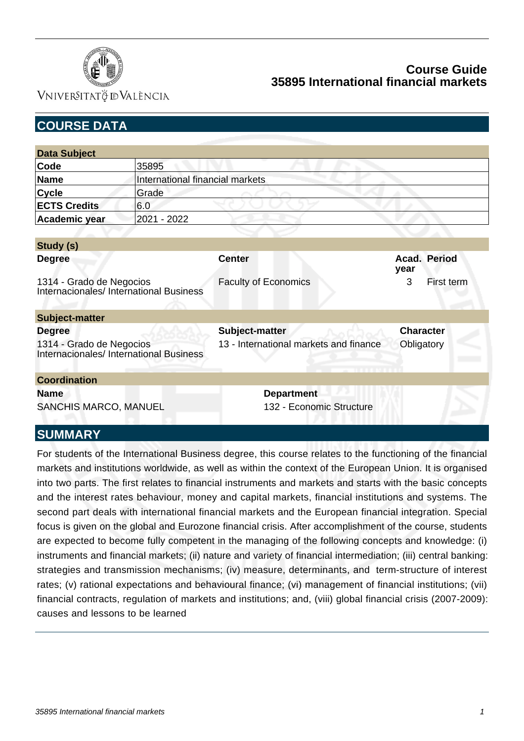

VNIVERSITATÖ ID VALÈNCIA

| <b>COURSE DATA</b>                                                         |                                 |                                        |                             |  |
|----------------------------------------------------------------------------|---------------------------------|----------------------------------------|-----------------------------|--|
|                                                                            |                                 |                                        |                             |  |
| <b>Data Subject</b>                                                        |                                 |                                        |                             |  |
| Code                                                                       | 35895                           |                                        |                             |  |
| <b>Name</b>                                                                | International financial markets |                                        |                             |  |
| <b>Cycle</b>                                                               | Grade                           |                                        |                             |  |
| <b>ECTS Credits</b>                                                        | 6.0                             |                                        |                             |  |
| Academic year                                                              | 2021 - 2022                     |                                        |                             |  |
| Study (s)                                                                  |                                 |                                        |                             |  |
| <b>Degree</b>                                                              |                                 | <b>Center</b>                          | <b>Acad. Period</b><br>year |  |
| 1314 - Grado de Negocios<br>Internacionales/ International Business        |                                 | <b>Faculty of Economics</b>            | 3<br>First term             |  |
| Subject-matter                                                             |                                 |                                        |                             |  |
| <b>Degree</b>                                                              |                                 | Subject-matter                         | <b>Character</b>            |  |
| 1314 - Grado de Negocios<br><b>Internacionales/ International Business</b> |                                 | 13 - International markets and finance | Obligatory                  |  |
| <b>Coordination</b>                                                        |                                 |                                        |                             |  |
| <b>Name</b>                                                                |                                 | <b>Department</b>                      |                             |  |
| SANCHIS MARCO, MANUEL                                                      |                                 | 132 - Economic Structure               |                             |  |
| <b>SUMMARY</b>                                                             |                                 |                                        |                             |  |

For students of the International Business degree, this course relates to the functioning of the financial markets and institutions worldwide, as well as within the context of the European Union. It is organised into two parts. The first relates to financial instruments and markets and starts with the basic concepts and the interest rates behaviour, money and capital markets, financial institutions and systems. The second part deals with international financial markets and the European financial integration. Special focus is given on the global and Eurozone financial crisis. After accomplishment of the course, students are expected to become fully competent in the managing of the following concepts and knowledge: (i) instruments and financial markets; (ii) nature and variety of financial intermediation; (iii) central banking: strategies and transmission mechanisms; (iv) measure, determinants, and term-structure of interest rates; (v) rational expectations and behavioural finance; (vi) management of financial institutions; (vii) financial contracts, regulation of markets and institutions; and, (viii) global financial crisis (2007-2009): causes and lessons to be learned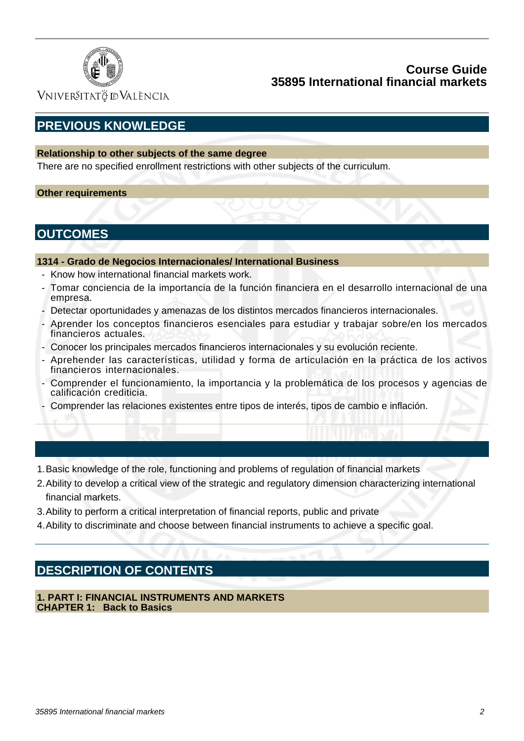

Vniver§itatğ dValència

# **PREVIOUS KNOWLEDGE**

### **Relationship to other subjects of the same degree**

There are no specified enrollment restrictions with other subjects of the curriculum.

#### **Other requirements**

## **OUTCOMES**

#### **1314 - Grado de Negocios Internacionales/ International Business**

- Know how international financial markets work.
- Tomar conciencia de la importancia de la función financiera en el desarrollo internacional de una empresa.
- Detectar oportunidades y amenazas de los distintos mercados financieros internacionales.
- Aprender los conceptos financieros esenciales para estudiar y trabajar sobre/en los mercados financieros actuales.
- Conocer los principales mercados financieros internacionales y su evolución reciente.
- Aprehender las características, utilidad y forma de articulación en la práctica de los activos financieros internacionales.
- Comprender el funcionamiento, la importancia y la problemática de los procesos y agencias de calificación crediticia.
- Comprender las relaciones existentes entre tipos de interés, tipos de cambio e inflación.
- 1.Basic knowledge of the role, functioning and problems of regulation of financial markets
- 2. Ability to develop a critical view of the strategic and regulatory dimension characterizing international financial markets.
- 3.Ability to perform a critical interpretation of financial reports, public and private
- 4.Ability to discriminate and choose between financial instruments to achieve a specific goal.

# **DESCRIPTION OF CONTENTS**

**1. PART I: FINANCIAL INSTRUMENTS AND MARKETS CHAPTER 1: Back to Basics**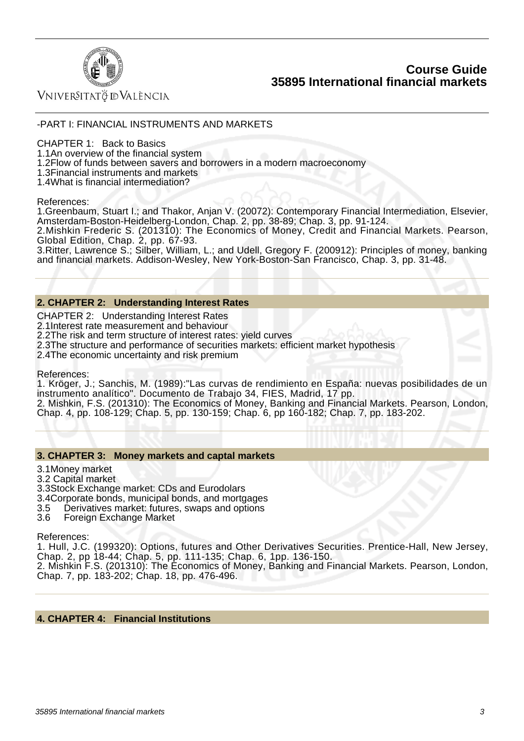

Vniver§itatğ dValència

#### -PART I: FINANCIAL INSTRUMENTS AND MARKETS

CHAPTER 1: Back to Basics

1.1 An overview of the financial system

1.2 Flow of funds between savers and borrowers in a modern macroeconomy

1.3 Financial instruments and markets

1.4 What is financial intermediation?

#### References:

1. Greenbaum, Stuart I.; and Thakor, Anjan V. (20072): Contemporary Financial Intermediation, Elsevier, Amsterdam-Boston-Heidelberg-London, Chap. 2, pp. 38-89; Chap. 3, pp. 91-124.

2. Mishkin Frederic S. (201310): The Economics of Money, Credit and Financial Markets. Pearson, Global Edition, Chap. 2, pp. 67-93.

3. Ritter, Lawrence S.; Silber, William, L.; and Udell, Gregory F. (200912): Principles of money, banking and financial markets. Addison-Wesley, New York-Boston-San Francisco, Chap. 3, pp. 31-48.

#### **2. CHAPTER 2: Understanding Interest Rates**

CHAPTER 2: Understanding Interest Rates

2.1 Interest rate measurement and behaviour

2.2 The risk and term structure of interest rates: yield curves

2.3 The structure and performance of securities markets: efficient market hypothesis

2.4 The economic uncertainty and risk premium

References:

1. Kröger, J.; Sanchis, M. (1989):"Las curvas de rendimiento en España: nuevas posibilidades de un instrumento analítico". Documento de Trabajo 34, FIES, Madrid, 17 pp.

2. Mishkin, F.S. (201310): The Economics of Money, Banking and Financial Markets. Pearson, London, Chap. 4, pp. 108-129; Chap. 5, pp. 130-159; Chap. 6, pp 160-182; Chap. 7, pp. 183-202.

#### **3. CHAPTER 3: Money markets and captal markets**

- 3.1 Money market
- 3.2 Capital market
- 3.3 Stock Exchange market: CDs and Eurodolars
- 3.4 Corporate bonds, municipal bonds, and mortgages<br>3.5 Derivatives market: futures, swaps and options
- 3.5 Derivatives market: futures, swaps and options
- 3.6 Foreign Exchange Market

References:

1. Hull, J.C. (199320): Options, futures and Other Derivatives Securities. Prentice-Hall, New Jersey, Chap. 2, pp 18-44; Chap. 5, pp. 111-135; Chap. 6, 1pp. 136-150.

2. Mishkin F.S. (201310): The Economics of Money, Banking and Financial Markets. Pearson, London, Chap. 7, pp. 183-202; Chap. 18, pp. 476-496.

#### **4. CHAPTER 4: Financial Institutions**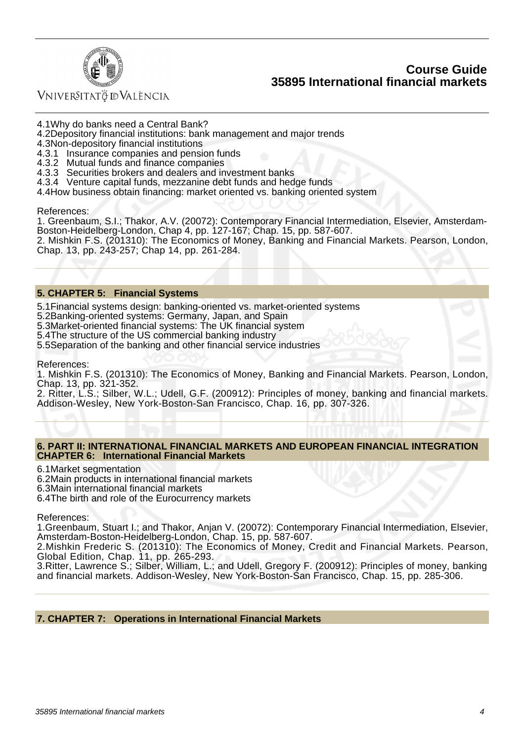



Vniver§itatğ dValència

4.1 Why do banks need a Central Bank?

- 4.2 Depository financial institutions: bank management and major trends
- 4.3 Non-depository financial institutions
- 4.3.1 Insurance companies and pension funds
- 4.3.2 Mutual funds and finance companies
- 4.3.3 Securities brokers and dealers and investment banks
- 4.3.4 Venture capital funds, mezzanine debt funds and hedge funds
- 4.4 How business obtain financing: market oriented vs. banking oriented system

References:

1. Greenbaum, S.I.; Thakor, A.V. (20072): Contemporary Financial Intermediation, Elsevier, Amsterdam-Boston-Heidelberg-London, Chap 4, pp. 127-167; Chap. 15, pp. 587-607. 2. Mishkin F.S. (201310): The Economics of Money, Banking and Financial Markets. Pearson, London, Chap. 13, pp. 243-257; Chap 14, pp. 261-284.

#### **5. CHAPTER 5: Financial Systems**

5.1 Financial systems design: banking-oriented vs. market-oriented systems

- 5.2 Banking-oriented systems: Germany, Japan, and Spain
- 5.3 Market-oriented financial systems: The UK financial system
- 5.4 The structure of the US commercial banking industry

5.5 Separation of the banking and other financial service industries

References:

1. Mishkin F.S. (201310): The Economics of Money, Banking and Financial Markets. Pearson, London, Chap. 13, pp. 321-352.

2. Ritter, L.S.; Silber, W.L.; Udell, G.F. (200912): Principles of money, banking and financial markets. Addison-Wesley, New York-Boston-San Francisco, Chap. 16, pp. 307-326.

#### **6. PART II: INTERNATIONAL FINANCIAL MARKETS AND EUROPEAN FINANCIAL INTEGRATION CHAPTER 6: International Financial Markets**

6.1 Market segmentation

- 6.2 Main products in international financial markets
- 6.3 Main international financial markets
- 6.4 The birth and role of the Eurocurrency markets

References:

1. Greenbaum, Stuart I.; and Thakor, Anjan V. (20072): Contemporary Financial Intermediation, Elsevier, Amsterdam-Boston-Heidelberg-London, Chap. 15, pp. 587-607.

2. Mishkin Frederic S. (201310): The Economics of Money, Credit and Financial Markets. Pearson, Global Edition, Chap. 11, pp. 265-293.

3. Ritter, Lawrence S.; Silber, William, L.; and Udell, Gregory F. (200912): Principles of money, banking and financial markets. Addison-Wesley, New York-Boston-San Francisco, Chap. 15, pp. 285-306.

#### **7. CHAPTER 7: Operations in International Financial Markets**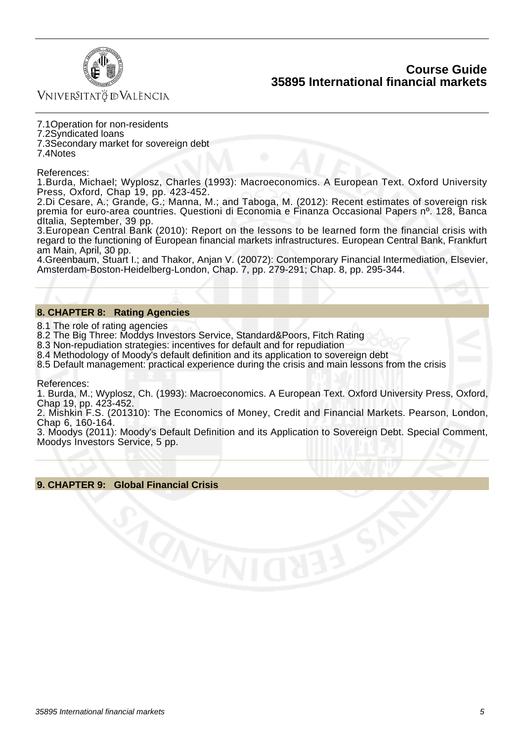

Vniver§itatğ dValència

7.1 Operation for non-residents

7.2 Syndicated loans

7.3 Secondary market for sovereign debt

7.4 Notes

References:

1. Burda, Michael; Wyplosz, Charles (1993); Macroeconomics. A European Text. Oxford University Press, Oxford, Chap 19, pp. 423-452.

2. Di Cesare, A.; Grande, G.; Manna, M.; and Taboga, M. (2012): Recent estimates of sovereign risk premia for euro-area countries. Questioni di Economia e Finanza Occasional Papers nº. 128, Banca dItalia, September, 39 pp.

3. European Central Bank (2010): Report on the lessons to be learned form the financial crisis with regard to the functioning of European financial markets infrastructures. European Central Bank, Frankfurt am Main, April, 30 pp.

4. Greenbaum, Stuart I.; and Thakor, Anjan V. (20072): Contemporary Financial Intermediation, Elsevier, Amsterdam-Boston-Heidelberg-London, Chap. 7, pp. 279-291; Chap. 8, pp. 295-344.

#### **8. CHAPTER 8: Rating Agencies**

8.1 The role of rating agencies

8.2 The Big Three: Moddys Investors Service, Standard&Poors, Fitch Rating

8.3 Non-repudiation strategies: incentives for default and for repudiation

8.4 Methodology of Moody's default definition and its application to sovereign debt

8.5 Default management: practical experience during the crisis and main lessons from the crisis

References:

1. Burda, M.; Wyplosz, Ch. (1993): Macroeconomics. A European Text. Oxford University Press, Oxford, Chap 19, pp. 423-452.

2. Mishkin F.S. (201310): The Economics of Money, Credit and Financial Markets. Pearson, London, Chap 6, 160-164.

3. Moodys (2011): Moody's Default Definition and its Application to Sovereign Debt. Special Comment, Moodys Investors Service, 5 pp.

#### **9. CHAPTER 9: Global Financial Crisis**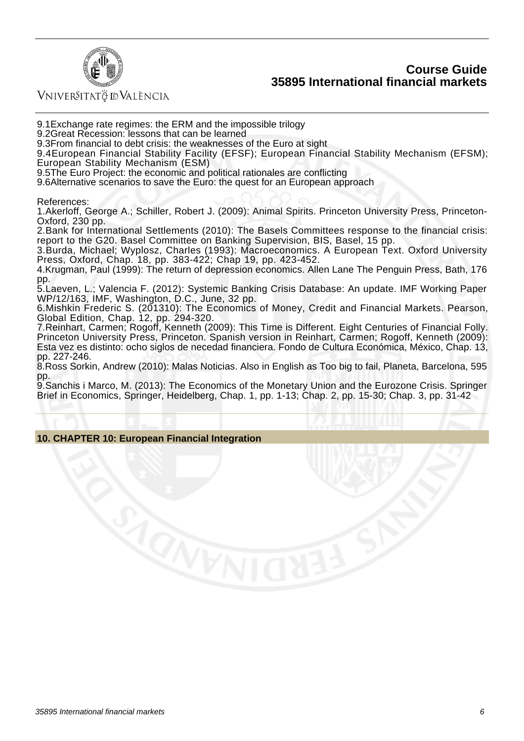

VNIVERSITATÖ IDVALÈNCIA

9.1 Exchange rate regimes: the ERM and the impossible trilogy

9.2 Great Recession: lessons that can be learned

9.3 From financial to debt crisis: the weaknesses of the Euro at sight

9.4 European Financial Stability Facility (EFSF); European Financial Stability Mechanism (EFSM); European Stability Mechanism (ESM)

9.5 The Euro Project: the economic and political rationales are conflicting

9.6 Alternative scenarios to save the Euro: the quest for an European approach

References:

1. Akerloff, George A.; Schiller, Robert J. (2009): Animal Spirits. Princeton University Press. Princeton-Oxford, 230 pp.

2. Bank for International Settlements (2010): The Basels Committees response to the financial crisis: report to the G20. Basel Committee on Banking Supervision, BIS, Basel, 15 pp.

3. Burda, Michael; Wyplosz, Charles (1993): Macroeconomics. A European Text. Oxford University Press, Oxford, Chap. 18, pp. 383-422; Chap 19, pp. 423-452.

4. Krugman, Paul (1999): The return of depression economics. Allen Lane The Penguin Press, Bath, 176 pp.

5. Laeven, L.; Valencia F. (2012): Systemic Banking Crisis Database: An update. IMF Working Paper WP/12/163, IMF, Washington, D.C., June, 32 pp.

6. Mishkin Frederic S. (201310): The Economics of Money, Credit and Financial Markets. Pearson, Global Edition, Chap. 12, pp. 294-320.

7. Reinhart, Carmen; Rogoff, Kenneth (2009): This Time is Different. Eight Centuries of Financial Folly. Princeton University Press, Princeton. Spanish version in Reinhart, Carmen; Rogoff, Kenneth (2009): Esta vez es distinto: ocho siglos de necedad financiera. Fondo de Cultura Económica, México, Chap. 13, pp. 227-246.

8. Ross Sorkin, Andrew (2010): Malas Noticias. Also in English as Too big to fail, Planeta, Barcelona, 595 pp.

9. Sanchis i Marco, M. (2013): The Economics of the Monetary Union and the Eurozone Crisis. Springer Brief in Economics, Springer, Heidelberg, Chap. 1, pp. 1-13; Chap. 2, pp. 15-30; Chap. 3, pp. 31-42

#### **10. CHAPTER 10: European Financial Integration**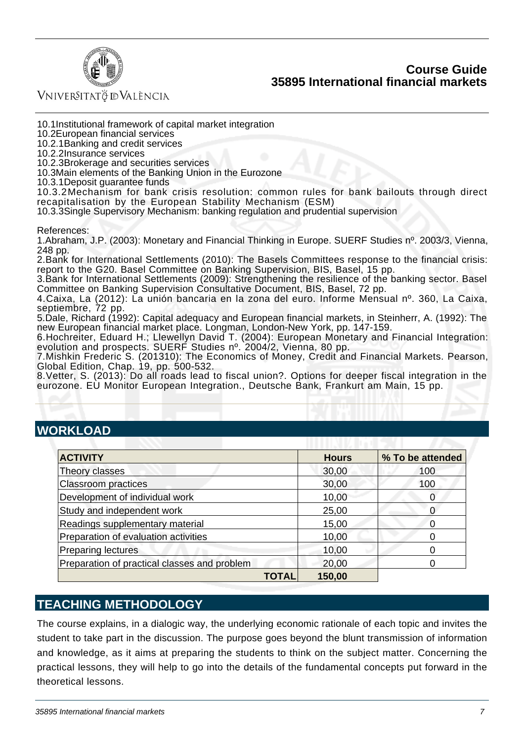

Vniver§itatğ dValència

10.1 Institutional framework of capital market integration

10.2 European financial services

10.2.1 Banking and credit services

10.2.2 Insurance services

10.2.3 Brokerage and securities services

10.3 Main elements of the Banking Union in the Eurozone

10.3.1 Deposit guarantee funds

10.3.2 Mechanism for bank crisis resolution: common rules for bank bailouts through direct recapitalisation by the European Stability Mechanism (ESM)

10.3.3 Single Supervisory Mechanism: banking regulation and prudential supervision

References:

1. Abraham, J.P. (2003): Monetary and Financial Thinking in Europe. SUERF Studies nº, 2003/3, Vienna, 248 pp.

2. Bank for International Settlements (2010): The Basels Committees response to the financial crisis: report to the G20. Basel Committee on Banking Supervision, BIS, Basel, 15 pp.

3. Bank for International Settlements (2009): Strengthening the resilience of the banking sector. Basel Committee on Banking Supervision Consultative Document, BIS, Basel, 72 pp.

4. Caixa, La (2012): La unión bancaria en la zona del euro. Informe Mensual nº. 360, La Caixa, septiembre, 72 pp.

5. Dale, Richard (1992): Capital adequacy and European financial markets, in Steinherr, A. (1992): The new European financial market place. Longman, London-New York, pp. 147-159.

6. Hochreiter, Eduard H.; Llewellyn David T. (2004): European Monetary and Financial Integration: evolution and prospects. SUERF Studies nº. 2004/2, Vienna, 80 pp.

7. Mishkin Frederic S. (201310): The Economics of Money, Credit and Financial Markets. Pearson, Global Edition, Chap. 19, pp. 500-532.

8. Vetter, S. (2013): Do all roads lead to fiscal union?. Options for deeper fiscal integration in the eurozone. EU Monitor European Integration., Deutsche Bank, Frankurt am Main, 15 pp.

# **WORKLOAD**

| <b>ACTIVITY</b>                              | <b>Hours</b> | % To be attended |
|----------------------------------------------|--------------|------------------|
| Theory classes                               | 30,00        | 100              |
| <b>Classroom practices</b>                   | 30,00        | 100              |
| Development of individual work               | 10,00        | 0                |
| Study and independent work                   | 25,00        |                  |
| Readings supplementary material              | 15,00        |                  |
| Preparation of evaluation activities         | 10,00        |                  |
| <b>Preparing lectures</b>                    | 10,00        |                  |
| Preparation of practical classes and problem | 20,00        |                  |
| TOTAL                                        | 150,00       |                  |

## **TEACHING METHODOLOGY**

The course explains, in a dialogic way, the underlying economic rationale of each topic and invites the student to take part in the discussion. The purpose goes beyond the blunt transmission of information and knowledge, as it aims at preparing the students to think on the subject matter. Concerning the practical lessons, they will help to go into the details of the fundamental concepts put forward in the theoretical lessons.